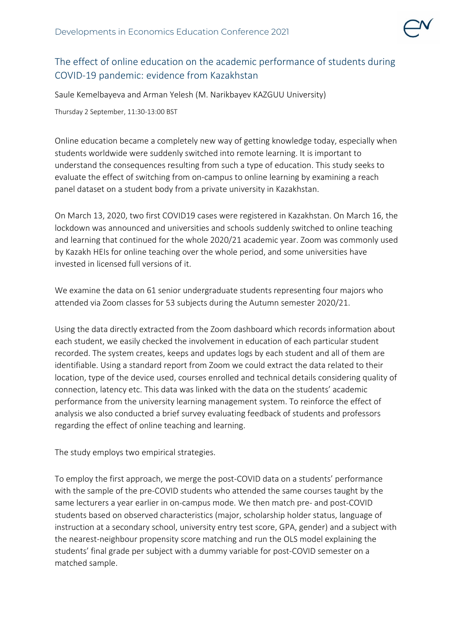

## The effect of online education on the academic performance of students during COVID-19 pandemic: evidence from Kazakhstan

Saule Kemelbayeva and Arman Yelesh (M. Narikbayev KAZGUU University)

Thursday 2 September, 11:30-13:00 BST

Online education became a completely new way of getting knowledge today, especially when students worldwide were suddenly switched into remote learning. It is important to understand the consequences resulting from such a type of education. This study seeks to evaluate the effect of switching from on-campus to online learning by examining a reach panel dataset on a student body from a private university in Kazakhstan.

On March 13, 2020, two first COVID19 cases were registered in Kazakhstan. On March 16, the lockdown was announced and universities and schools suddenly switched to online teaching and learning that continued for the whole 2020/21 academic year. Zoom was commonly used by Kazakh HEIs for online teaching over the whole period, and some universities have invested in licensed full versions of it.

We examine the data on 61 senior undergraduate students representing four majors who attended via Zoom classes for 53 subjects during the Autumn semester 2020/21.

Using the data directly extracted from the Zoom dashboard which records information about each student, we easily checked the involvement in education of each particular student recorded. The system creates, keeps and updates logs by each student and all of them are identifiable. Using a standard report from Zoom we could extract the data related to their location, type of the device used, courses enrolled and technical details considering quality of connection, latency etc. This data was linked with the data on the students' academic performance from the university learning management system. To reinforce the effect of analysis we also conducted a brief survey evaluating feedback of students and professors regarding the effect of online teaching and learning.

The study employs two empirical strategies.

To employ the first approach, we merge the post-COVID data on a students' performance with the sample of the pre-COVID students who attended the same courses taught by the same lecturers a year earlier in on-campus mode. We then match pre- and post-COVID students based on observed characteristics (major, scholarship holder status, language of instruction at a secondary school, university entry test score, GPA, gender) and a subject with the nearest-neighbour propensity score matching and run the OLS model explaining the students' final grade per subject with a dummy variable for post-COVID semester on a matched sample.